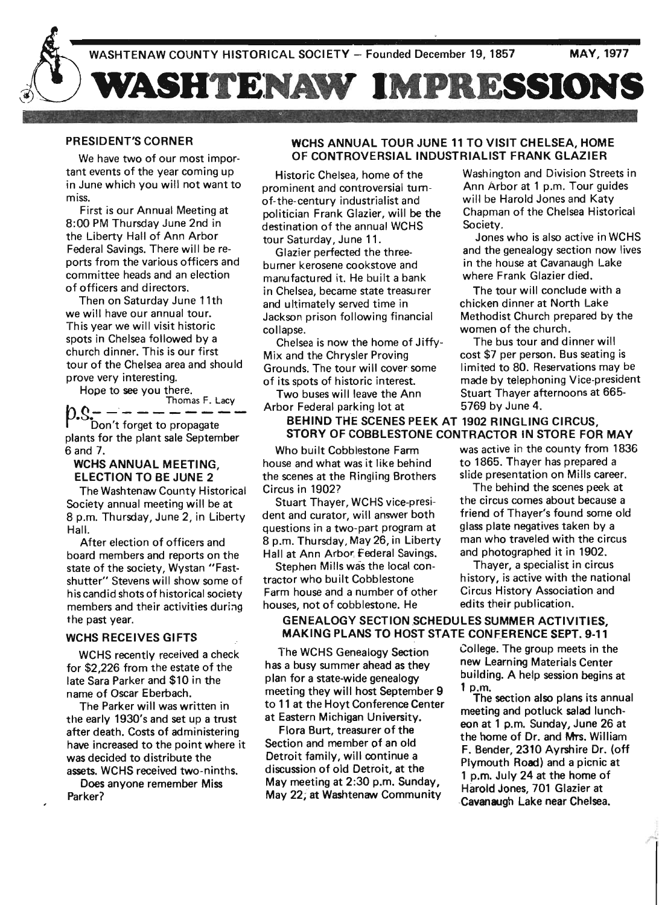

### PRESIDENT'S CORNER

We have two of our most important events of the year coming up in June which you will not want to miss.

First is our Annual Meeting at 8:00 PM Thursday June 2nd in the Liberty Hall of Ann Arbor Federal Savings. There will be re' ports from the various officers and committee heads and an election of officers and directors.

Then on Saturday June 11th we will have our annual tour. This year we will visit historic spots in Chelsea followed by a church dinner. This is our first tour of the Chelsea area and should prove very interesting.

Hope to see you there.

Thomas F. Lacy Don't forget to propagate plants for the plant sale September 6 and 7.

### WCHS ANNUAL MEETING, ELECTION TO BE JUNE 2

The Washtenaw County Historical Society annual meeting will be at 8 p.m. Thursday, June 2, in Liberty Hall.

After election of officers and board members and reports on the state of the society, Wystan *"Fast*shutter" Stevens will show some of his candid shots of historical society members and their activities during the past year.

### WCHS RECEIVES GIFTS

WCHS recently received a check for \$2,226 from the estate of the late Sara Parker and \$10 in the name of Oscar Eberbach.

The Parker will was written in the early 1930's and set up a trust after death. Costs of administering have increased to the point where it was decided to distribute the assets. WCHS received two-ninths.

Does anyone remember Miss Parker?

### WCHS ANNUAL TOUR JUNE 11 TO VISIT CHELSEA, HOME OF CONTROVERSIAL INDUSTRIALIST FRANK GLAZIER

prominent and controversial tum- Ann Arbor at 1 p.m. Tour guides of-the-century industrialist and will be Harold Jones and Katy politician Frank Glazier, will be the Chapman of the Chelsea Historical destination of the annual WCHS Society. tour Saturday, June 11. Jones who is also active in WCHS

burner kerosene cookstove and in the house at Cavanaugh Lake manufactured it. He built a bank where Frank Glazier died. in Chelsea, became state treasurer The tour will conclude with a and ultimately served time in chicken dinner at North Lake collapse. women of the church.

Mix and the Chrysler Proving cost \$7 per person. Bus seating is Grounds. The tour will cover some limited to 80. Reservations may be

Arbor Federal parking lot at 5769 by June 4.

# BEHIND THE SCENES PEEK AT 1902 RINGLING CIRCUS STORY OF COBBLESTONE CONTRACTOR IN STORE FOR MAY

house and what was it like behind to 1865. Thayer has prepared a the scenes at the Ringling Brothers slide presentation on Mills career. Circus in 1902? The behind the scenes peek at

dent and curator, will answer both friend of Thayer's found some old questions in a two-part program at glass plate negatives taken by a 8 p.m. Thursday, May 26, in Liberty man who traveled with the circus Hall at Ann Arbor, Federal Savings. and photographed it in 1902.

tractor who built Cobblestone history, is active with the national Farm house and a number of other Circus History Association and houses, not of cobblestone. He edits their publication.

## GENEALOGY SECTION SCHEDULES SUMMER ACTIVITIES. MAKING PLANS TO HOST STATE CONFERENCE SEPT. 9-11

The WCHS Genealogy Section has a busy summer ahead as they plan for a state-wide genealogy meeting they will host September 9 to 11 at the Hoyt Conference Center at Eastern Michigan University.

Flora Burt, treasurer of the Section and member of an old Detroit family, will continue a discussion of old Detroit, at the May meeting at 2:30 p.m. Sunday, May 22, at Washtenaw Community

Historic Chelsea, home of the Washington and Division Streets in

Glazier perfected the three- and the genealogy section now lives

Jackson prison following financial Methodist Church prepared by the

Chelsea is now the home of Jitfy- The bus tour and dinner will of its spots of historic interest. made by telephoning Vice-president Two buses will leave the Ann Stuart Thayer afternoons at 665-

Who built Cobblestone Farm was active in the county from 1836

Stuart Thayer, WCHS vice-presi- the circus comes about because a

Stephen Mills was the local con-<br>
Thayer, a specialist in circus

College. The group meets in the new Learning Materials Center building. A help session begins at 1 p.m.

The section also plans its annual meeting and potluck salad luncheon at 1 p.m. Sunday, June 26 at the home of Dr. and Mrs. William F. Bender, 2310 Ayrshire Dr. (off Plymouth Road) and a picnic at 1 p.m; July 24 at the home of Harold Jones, 701 Glazier at ,Cavanaugh Lake near Chelsea.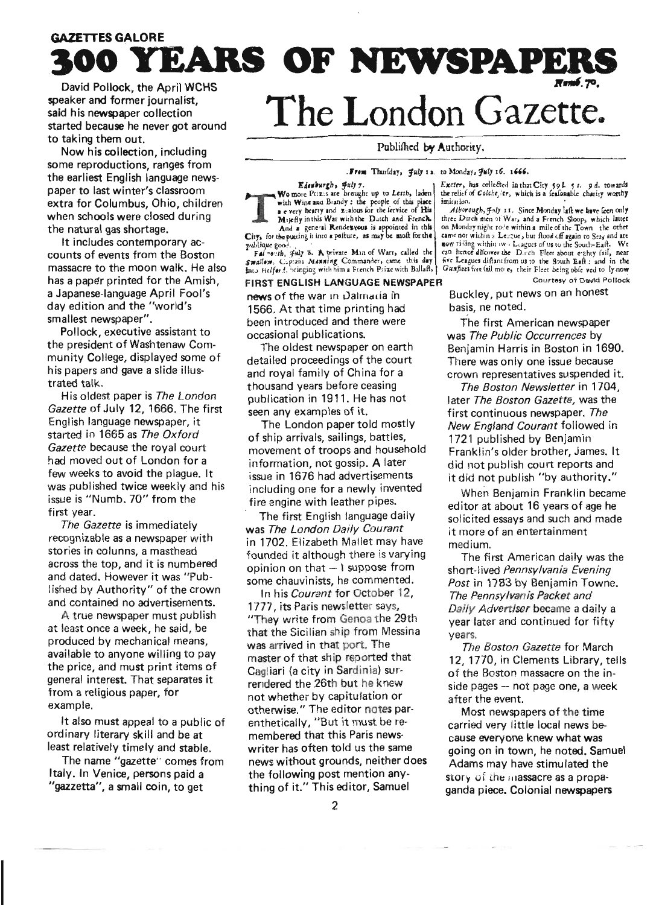# **GAZETTES GALORE** . **300 YEARS OF NEWSPAPERS**

speaker and former journalist. said his newspaper collection started because he never got around to taking them out.

Now his collection, including some reproductions, ranges from the earliest English language newspaper to last winter's classroom extra for Columbus, Ohio, children when schools were closed during the natural gas shortage.

It includes contemporary accounts of events from the Boston massacre to the moon walk. He also has a paper printed for the Amish, a Japanese-language April Fool's day edition and the "world's smallest newspaper".

Pollock, executive assistant to the president of Washtenaw Community College, displayed some of his papers and gave a slide illustrated talk.

His oldest paper is *The London Gazette* of July 12, 1666. The first English language newspaper, it started in 1665 as *The Oxford Gazette* because the royal court had moved out of London for a few weeks to avoid the plague. It was published twice weekly and his issue is "Numb. 70" from the first year.

*The Gazette* is immediately recognizable as a newspaper with stories in colunns, a masthead across the top, and it is numbered and dated. However it was "Published by Authority" of the crown and contained no advertisements.

A true newspaper must publish at least once a week, he said, be produced by mechanical means, available to anyone willing to pay the price, and must print items of general interest. That separates it from a religious paper, for example.

It also must appeal to a public of ordinary literary skill and be at least relatively timely and stable.

The name "gazette" comes from Italy. In Venice, persons paid a "gazzetta", a small coin, to get

# The London Gazette.

Published by Authority.

. From Thurlday, July 12. to Monday, July 16. 1666.<br>Edenburgh, July 7.<br>Wo more Prizes are brought up to Lerth, laden the relief of Colche, er, which Wo more Prizes are brought up to Letth, laden<br>with Wine and Brandy: the people of this place<br>and Brandy: the people of this place<br>and multiple of Colche, er, which is a feafonable charity worthy<br>a every hearty and x E-meta with Wine and Brandy: the people of this place imitation.<br>a e very hearty and x-alous for the lervice of His Alboro

### FIRST ENGLISH LANGUAGE NEWSPAPER Courtesy of David Pollock

1566. At that time printing had basis, ne noted. been introduced and there were The first American newspaper

detailed proceedings of the court There was only one issue because and royal family of China for a<br>
thousand years before ceasing The Boston Newsletter in 1704.

of ship arrivals, sailings, battles, 1721 published by Benjamin<br>movement of troops and household Franklin's older brother Jam information, not gossip. A later did not publish court reports and issue in 1676 had advertisements it did not publish "by authority." including one for a newly invented<br>fire engine with leather pipes.<br>editor at about 16 years of ane he

was *The London Daily Courant* it more of an entertainment in 1702. Elizabeth Mallet may have medium. founded it although there is varying The first American daily was the opinion on that  $-1$  suppose from short-lived *Pennsylvania Evening* opinion on that - I suppose from short-lived *Pennsylvania Evening*<br>some chauvinists, he commented. *Post* in 1783 by Benjamin Towne

1777 its Paris newsletter says, *Daily Advertiser* became a daily a that the Sicilian ship from Messina vears. was arrived in that port. The *The Boston Gazette* for March<br>master of that ship reported that **12.1770** in Clements Library to Cagliari (a city in Sardinia) sur-<br>
rendered the 26th but he knew side pages – not page one, a week not whether by capitulation or after the event. otherwise." The editor notes par-<br>enthetically, "But it must be re-<br>carried very little local news beenthetically, "But it must be re-<br>membered that this Paris news-<br>cause everyone knew what was news without grounds, neither does Adams may have stimulated the the following post mention any-<br>Story of the massacre as a propa-

Excter, has collected in that City  $59L - 53L$ . 9 d. towards the relief of Colche, for, which is a feafonable charity worthy

a e very hearty and x-alous for the Iervice of His *Alborough, Fnly 11.* Since Monday laft we have feen only Majefly in this War with the Dutch and French. It there Dutch men of War, and a French Sloop, which latter And a general Rendexvous is appointed in this on Monday night rove within a mile of the Town the other<br>City, for the putting it into a peiture, as may be moft for the came not within a Legue, bur flood off again to Seas an publique good.<br>Fal +0.1th, Fuly 8. A private Min of Warr, called the can hence difeover the D.r.ch Fleet about exhty fail, near Swalley. Captain Manning Commander, came this day | five Leagues diftant from us to the South Eaft: and in the<br>fato Helfor f, bringing with him a French Prixe with Ballaft, | Gunfleet five fail move, their Fleet being oble

news of the war in Dalmatia in Buckley, put news on an honest

occasional publications. was *The Public Occurrences* by Benjamin Harris in Boston in 1690.

thousand years before ceasing *The Boston Newsletter* in 1704, publication in 1911. He has not later *The Boston Gazette,* was the en any examples of it. first continuous newspaper. *The*<br>The London paper told mostly *New England Courant f*ollowed New England Courant followed in Franklin's older brother, James. It

fire engine with leather pipes.<br>The first English language daily envisited essays and such and made solicited essays and such and made

me chauvinists, he commented. *Post* in 1783 by Benjamin Towne.<br>In his *Courant* for October 12, *The Pennsylvanis Packet and* **The Pennsylvanis Packet and** year later and continued for fifty

master of that ship reported that 12, 1770, in Clements Library, tells<br>Cagliari (a city in Sardinia) sur-<br>of the Boston massacre on the in $side$  pages  $-$  not page one, a week

cause everyone knew what waswriter has often told us the same going on in town, he noted. Samuel<br>news without grounds, neither does  $\frac{1}{2}$  Adams may have stimulated the story of the massacre as a propathing of it." This editor, Samuel ganda piece. Colonial newspapers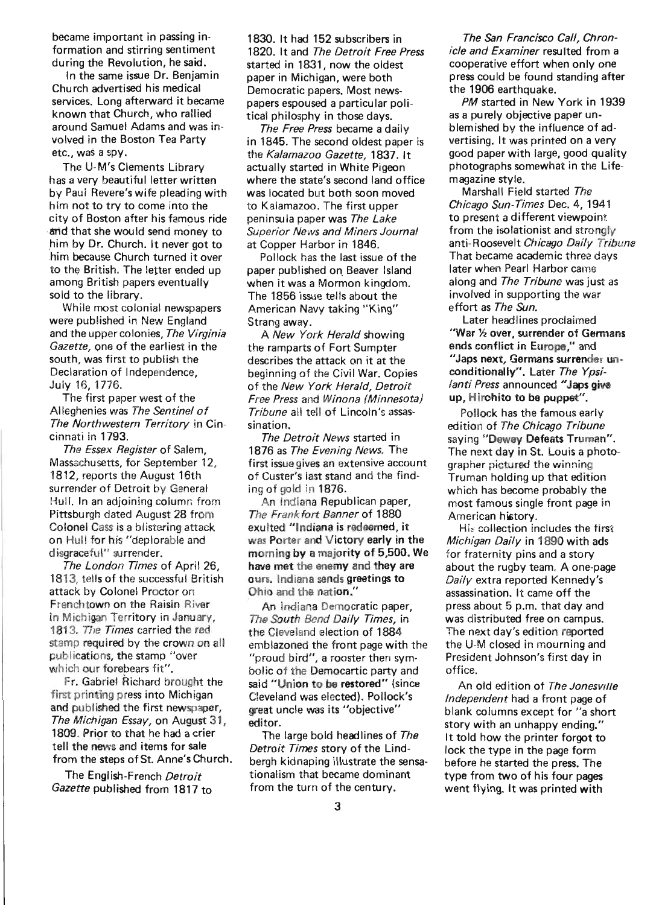became important in passing information and stirring sentiment during the Revolution, he said.

In the same issue Dr. Benjamin Church advertised his medical services. Long afterward it became known that Church, who rallied around Samuel Adams and was involved in the Boston Tea Party etc., was a spy.

The U-M's Clements Library has a very beautiful letter written by Paul Revere's wife pleading with him not to try to come into the city of Boston after his famous ride and that she would send money to him by Dr. Church. It never got to .him because Church turned it over to the British. The letter ended up among British papers eventually sold to the library.

While most colonial newspapers were published in New England and the upper colonies, The Virginia Gazette, one of the earliest in the south, was first to publish the Declaration of Independence, July 16, 1776.

The first paper west of the Alleghen ies was The Sentinel of The Northwestern Territory in Cincinnati in 1793.

The Essex Register of Salem. Massachusetts, for September 12, 1812, reports the August 16th surrender of Detroit by General Hull. In an adjoining column from Pittsbu rgh dated August 28 from Colonel Cass is a blistering attack on Hull for his "deplorable and disgraceful" surrender.

The London Times of April 26, 1813, tells of the successful British attack by Colonel Proctor on Frenchtown on the Raisin River In Michigan Territory in January, 1813. The Times carried the red stamp required by the crown on all publications, the stamp "over which our forebears fit".

Fr. Gabriel Richard brought the first printing press into Michigan and published the first newspaper, The Michigan Essay, on August 31, 1809. Prior to that he had a crier tell the news and items for sale from the steps of St. Anne's Church.

The English-French Detroit Gazette published from 1817 to 1830. It had 152 subscribers in 1820. It and The Detroit Free Press started in 1831, now the oldest paper in Michigan, were both Democratic papers. Most newspapers espoused a particular political philosphy in those days.

The Free Press became a daily in 1845. The second oldest paper is the Kalamazoo Gazette, 1837. It actually started in White Pigeon where the state's second land office was located but both soon moved to Kalamazoo. The first upper peninsula paper was The Lake Superior News and Miners Journal at Copper Harbor in 1846.

Pollock has the last issue of the paper published on. Beaver Island when it was a Mormon kingdom. The 1856 issue tells about the American Navy taking "King" Strang away.

A New York Herald showing the ramparts of Fort Sumpter describes the attack on it at the beginning of the Civil War. Copies of the New York Herald, Detroit Free Press and Winona (Minnesota) Tribune all tell of Lincoln's assassination.

The Detroit News started in 1876 as The Evening News. The first issue gives an extensive account of Custer's last stand and the finding of gold in 1876.

An Indiana Republican paper, The Frankfort Banner of 1880 exulted "Indiana is redeemed, it was Porter and Victory early in the morning by a majority of 5,500. We have met the enemy and they are ours. Indiana sends greetings to Ohio and the nation."

An Indiana Democratic paper, The South Bend Daily Times, in the Cleveland election of 1884 emblazoned the front page with the "proud bird", a rooster then symbolic of the Democartic party and said "Union to be restored" (since Cleveland was elected). Pollock's great uncle was its "objective" editor.

The large bold headlines of The Detroit Times story of the Lindbergh kidnaping illustrate the sensationalism that became dominant from the turn of the century.

The San Francisco Call, Chronicle and Examiner resulted from a cooperative effort when only one press could be found standing after the 1906 earthquake.

PM started in New York in 1939 as a pu rely objective paper unblemished by the influence of advertising. It was printed on a very good paper with large, good quality photographs somewhat in the Lifemagazine style.

Marshall Field started The Chicago Sun-Times Dec. 4,1941 to present a different viewpoint from the isolationist and strongly anti-Roosevelt Chicago Daily Tribune That became academic three days later when Pearl Harbor came along and The Tribune was just as involved in supporting the war effort as The Sun.

Later headlines proclaimed "War 1/2 over, surrender of Germans ends conflict in Europe," and "Japs next, Germans surrender unconditionally". Later The Ypsilanti Press announced "Japs give up, Hirohito to be puppet".

Pollock has the famous early edition of The Chicago Tribune saying "Dewey Defeats Truman". The next day in St. Louis a photographer pictured the winning Truman holding up that edition which has become probably the most famous single front page in American history.

His collection includes the first Michigan Daily in 1890 with ads for fraternity pins and a story about the rugby team. A one-page Daily extra reported Kennedy's assassination. It came off the press about 5 p.m. that day and was distributed free on campus. The next day's edition reported the U-M closed in mourning and President Johnson's first day in office.

An old edition of The Jonesville Independent had a front page of blank columns except for "a short" story with an unhappy ending." It told how the printer forgot to lock the type in the page form before he started the press. The type from two of his four pages went flying. It was printed with